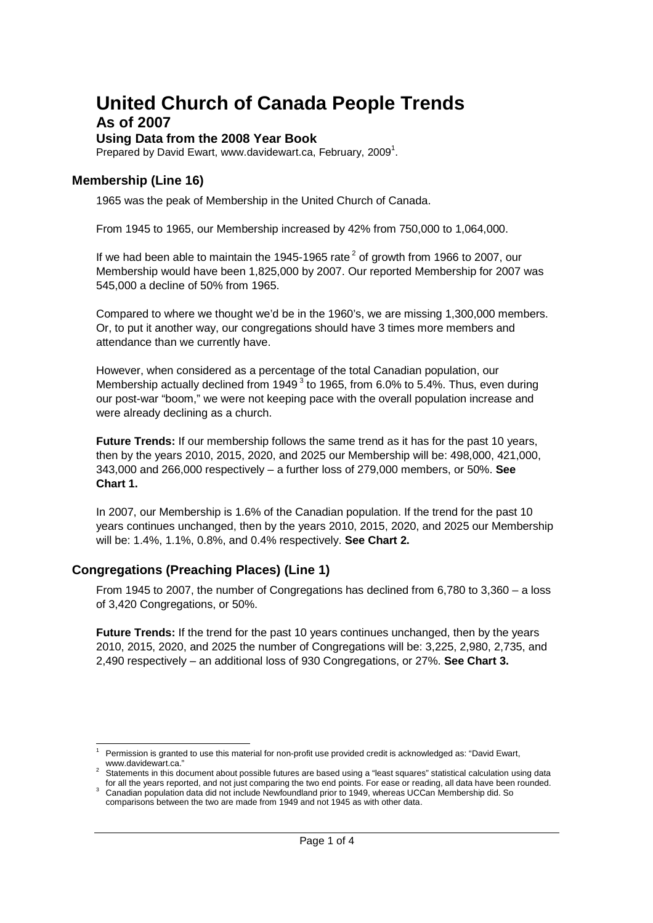## **United Church of Canada People Trends**

## **As of 2007**

### **Using Data from the 2008 Year Book**

Prepared by David Ewart, www.davidewart.ca, February, 2009<sup>1</sup>.

## **Membership (Line 16)**

1965 was the peak of Membership in the United Church of Canada.

From 1945 to 1965, our Membership increased by 42% from 750,000 to 1,064,000.

If we had been able to maintain the 1945-1965 rate<sup>2</sup> of growth from 1966 to 2007, our Membership would have been 1,825,000 by 2007. Our reported Membership for 2007 was 545,000 a decline of 50% from 1965.

Compared to where we thought we'd be in the 1960's, we are missing 1,300,000 members. Or, to put it another way, our congregations should have 3 times more members and attendance than we currently have.

However, when considered as a percentage of the total Canadian population, our Membership actually declined from 1949<sup>3</sup> to 1965, from 6.0% to 5.4%. Thus, even during our post-war "boom," we were not keeping pace with the overall population increase and were already declining as a church.

**Future Trends:** If our membership follows the same trend as it has for the past 10 years, then by the years 2010, 2015, 2020, and 2025 our Membership will be: 498,000, 421,000, 343,000 and 266,000 respectively – a further loss of 279,000 members, or 50%. **See Chart 1.**

In 2007, our Membership is 1.6% of the Canadian population. If the trend for the past 10 years continues unchanged, then by the years 2010, 2015, 2020, and 2025 our Membership will be: 1.4%, 1.1%, 0.8%, and 0.4% respectively. **See Chart 2.**

### **Congregations (Preaching Places) (Line 1)**

From 1945 to 2007, the number of Congregations has declined from 6,780 to 3,360 – a loss of 3,420 Congregations, or 50%.

**Future Trends:** If the trend for the past 10 years continues unchanged, then by the years 2010, 2015, 2020, and 2025 the number of Congregations will be: 3,225, 2,980, 2,735, and 2,490 respectively – an additional loss of 930 Congregations, or 27%. **See Chart 3.**

<sup>1</sup> Permission is granted to use this material for non-profit use provided credit is acknowledged as: "David Ewart, www.davidewart.ca."

 $2$  Statements in this document about possible futures are based using a "least squares" statistical calculation using data for all the years reported, and not just comparing the two end points. For ease or reading, all data have been rounded.

<sup>&</sup>lt;sup>3</sup> Canadian population data did not include Newfoundland prior to 1949, whereas UCCan Membership did. So comparisons between the two are made from 1949 and not 1945 as with other data.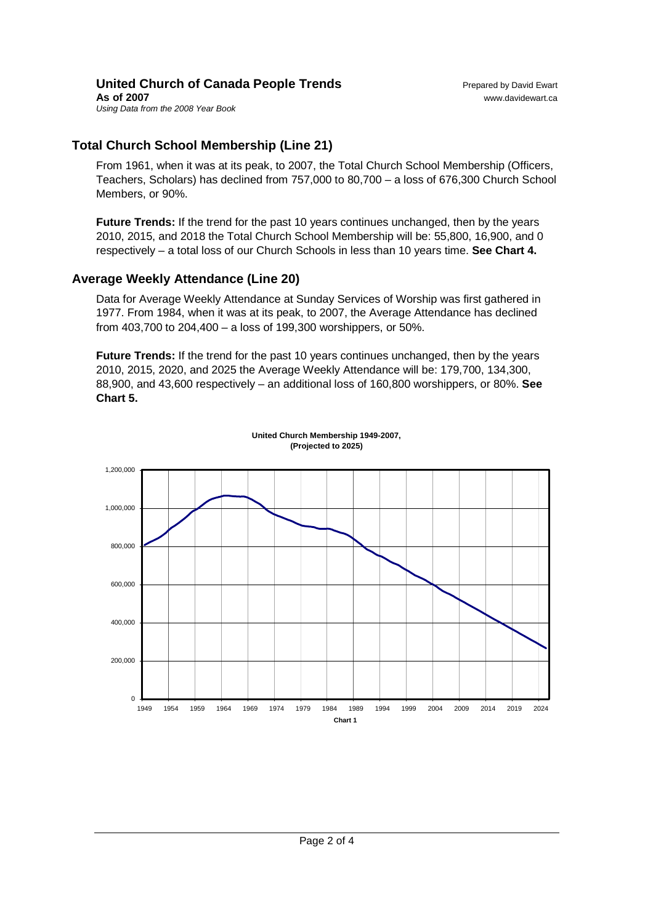#### **United Church of Canada People Trends** Prepared by David Ewart **As of 2007** www.davidewart.ca *Using Data from the 2008 Year Book*

## **Total Church School Membership (Line 21)**

From 1961, when it was at its peak, to 2007, the Total Church School Membership (Officers, Teachers, Scholars) has declined from 757,000 to 80,700 – a loss of 676,300 Church School Members, or 90%.

**Future Trends:** If the trend for the past 10 years continues unchanged, then by the years 2010, 2015, and 2018 the Total Church School Membership will be: 55,800, 16,900, and 0 respectively – a total loss of our Church Schools in less than 10 years time. **See Chart 4.**

## **Average Weekly Attendance (Line 20)**

Data for Average Weekly Attendance at Sunday Services of Worship was first gathered in 1977. From 1984, when it was at its peak, to 2007, the Average Attendance has declined from 403,700 to 204,400 – a loss of 199,300 worshippers, or 50%.

**Future Trends:** If the trend for the past 10 years continues unchanged, then by the years 2010, 2015, 2020, and 2025 the Average Weekly Attendance will be: 179,700, 134,300, 88,900, and 43,600 respectively – an additional loss of 160,800 worshippers, or 80%. **See Chart 5.**



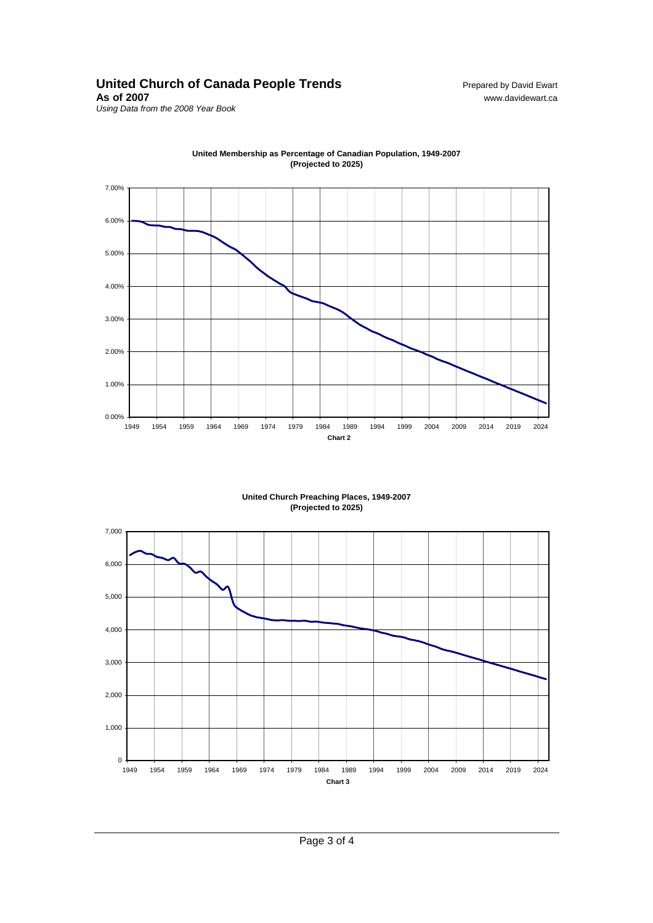# United Church of Canada People Trends<br>As of 2007<br>www.davidewart.ca

*Using Data from the 2008 Year Book*



**United Membership as Percentage of Canadian Population, 1949-2007 (Projected to 2025)**

> **United Church Preaching Places, 1949-2007 (Projected to 2025)**



**As of 2007** www.davidewart.ca